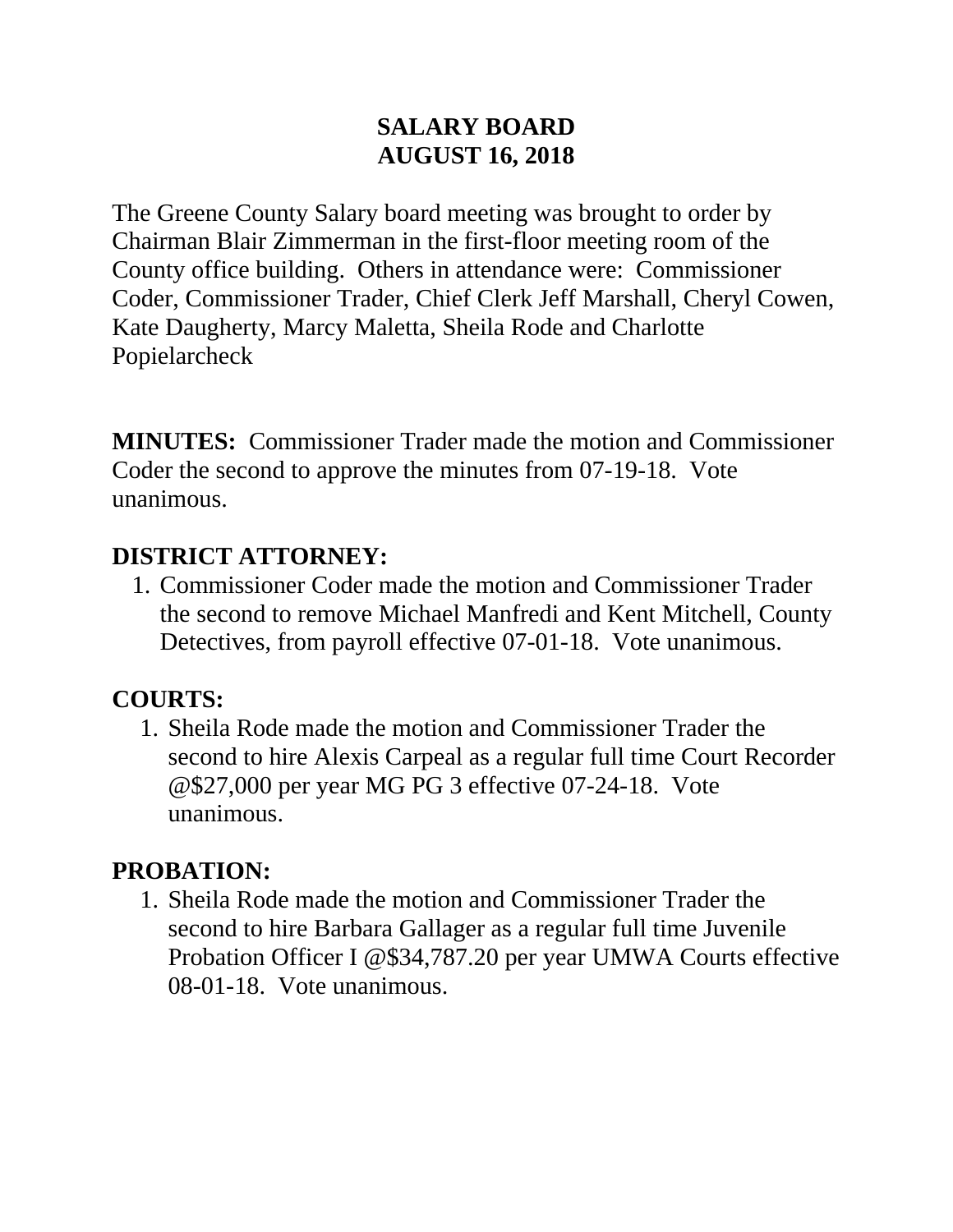#### **SALARY BOARD AUGUST 16, 2018**

The Greene County Salary board meeting was brought to order by Chairman Blair Zimmerman in the first-floor meeting room of the County office building. Others in attendance were: Commissioner Coder, Commissioner Trader, Chief Clerk Jeff Marshall, Cheryl Cowen, Kate Daugherty, Marcy Maletta, Sheila Rode and Charlotte Popielarcheck

**MINUTES:** Commissioner Trader made the motion and Commissioner Coder the second to approve the minutes from 07-19-18. Vote unanimous.

#### **DISTRICT ATTORNEY:**

1. Commissioner Coder made the motion and Commissioner Trader the second to remove Michael Manfredi and Kent Mitchell, County Detectives, from payroll effective 07-01-18. Vote unanimous.

### **COURTS:**

1. Sheila Rode made the motion and Commissioner Trader the second to hire Alexis Carpeal as a regular full time Court Recorder @\$27,000 per year MG PG 3 effective 07-24-18. Vote unanimous.

### **PROBATION:**

1. Sheila Rode made the motion and Commissioner Trader the second to hire Barbara Gallager as a regular full time Juvenile Probation Officer I @\$34,787.20 per year UMWA Courts effective 08-01-18. Vote unanimous.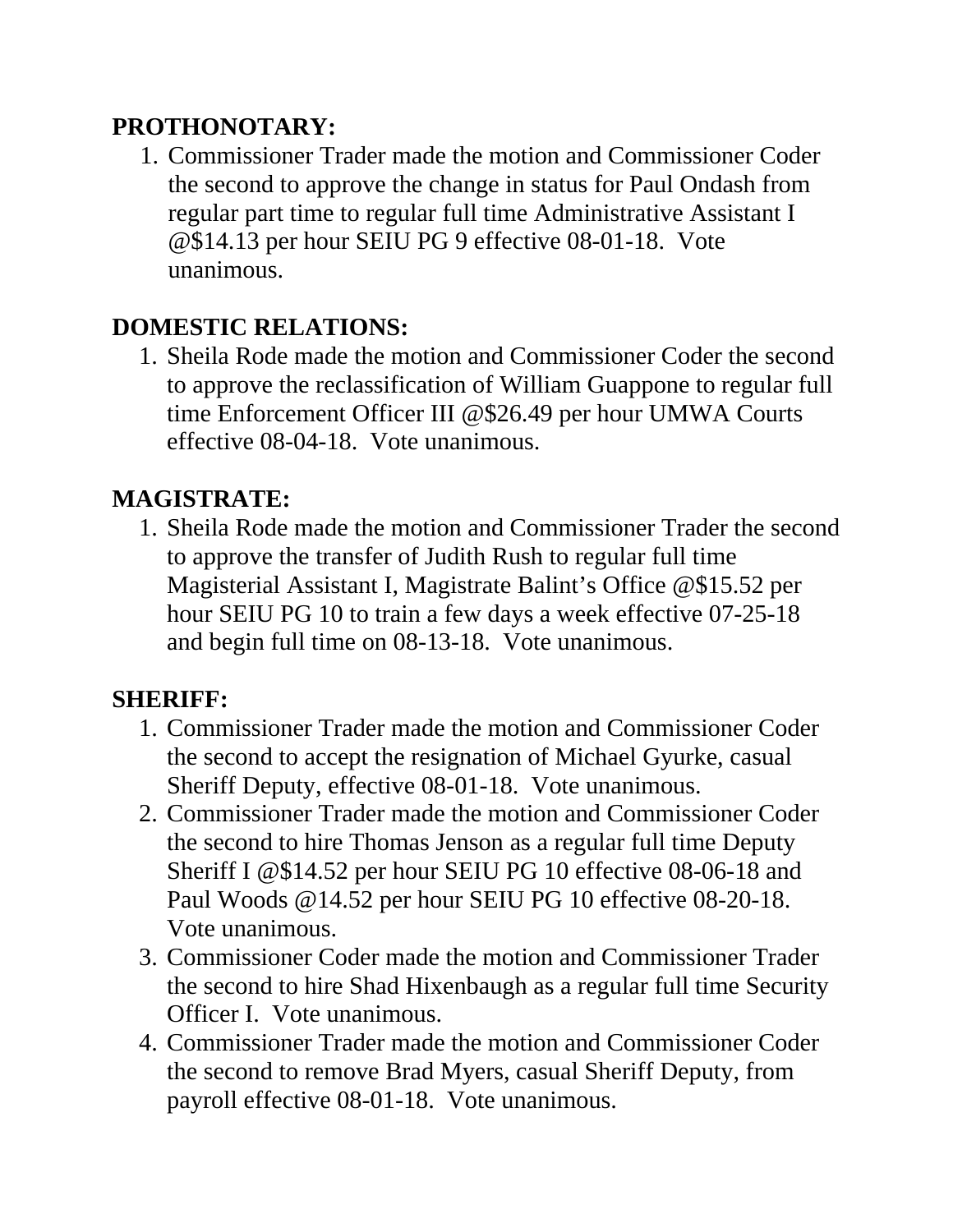### **PROTHONOTARY:**

1. Commissioner Trader made the motion and Commissioner Coder the second to approve the change in status for Paul Ondash from regular part time to regular full time Administrative Assistant I @\$14.13 per hour SEIU PG 9 effective 08-01-18. Vote unanimous.

# **DOMESTIC RELATIONS:**

1. Sheila Rode made the motion and Commissioner Coder the second to approve the reclassification of William Guappone to regular full time Enforcement Officer III @\$26.49 per hour UMWA Courts effective 08-04-18. Vote unanimous.

# **MAGISTRATE:**

1. Sheila Rode made the motion and Commissioner Trader the second to approve the transfer of Judith Rush to regular full time Magisterial Assistant I, Magistrate Balint's Office @\$15.52 per hour SEIU PG 10 to train a few days a week effective 07-25-18 and begin full time on 08-13-18. Vote unanimous.

### **SHERIFF:**

- 1. Commissioner Trader made the motion and Commissioner Coder the second to accept the resignation of Michael Gyurke, casual Sheriff Deputy, effective 08-01-18. Vote unanimous.
- 2. Commissioner Trader made the motion and Commissioner Coder the second to hire Thomas Jenson as a regular full time Deputy Sheriff I @\$14.52 per hour SEIU PG 10 effective 08-06-18 and Paul Woods @14.52 per hour SEIU PG 10 effective 08-20-18. Vote unanimous.
- 3. Commissioner Coder made the motion and Commissioner Trader the second to hire Shad Hixenbaugh as a regular full time Security Officer I. Vote unanimous.
- 4. Commissioner Trader made the motion and Commissioner Coder the second to remove Brad Myers, casual Sheriff Deputy, from payroll effective 08-01-18. Vote unanimous.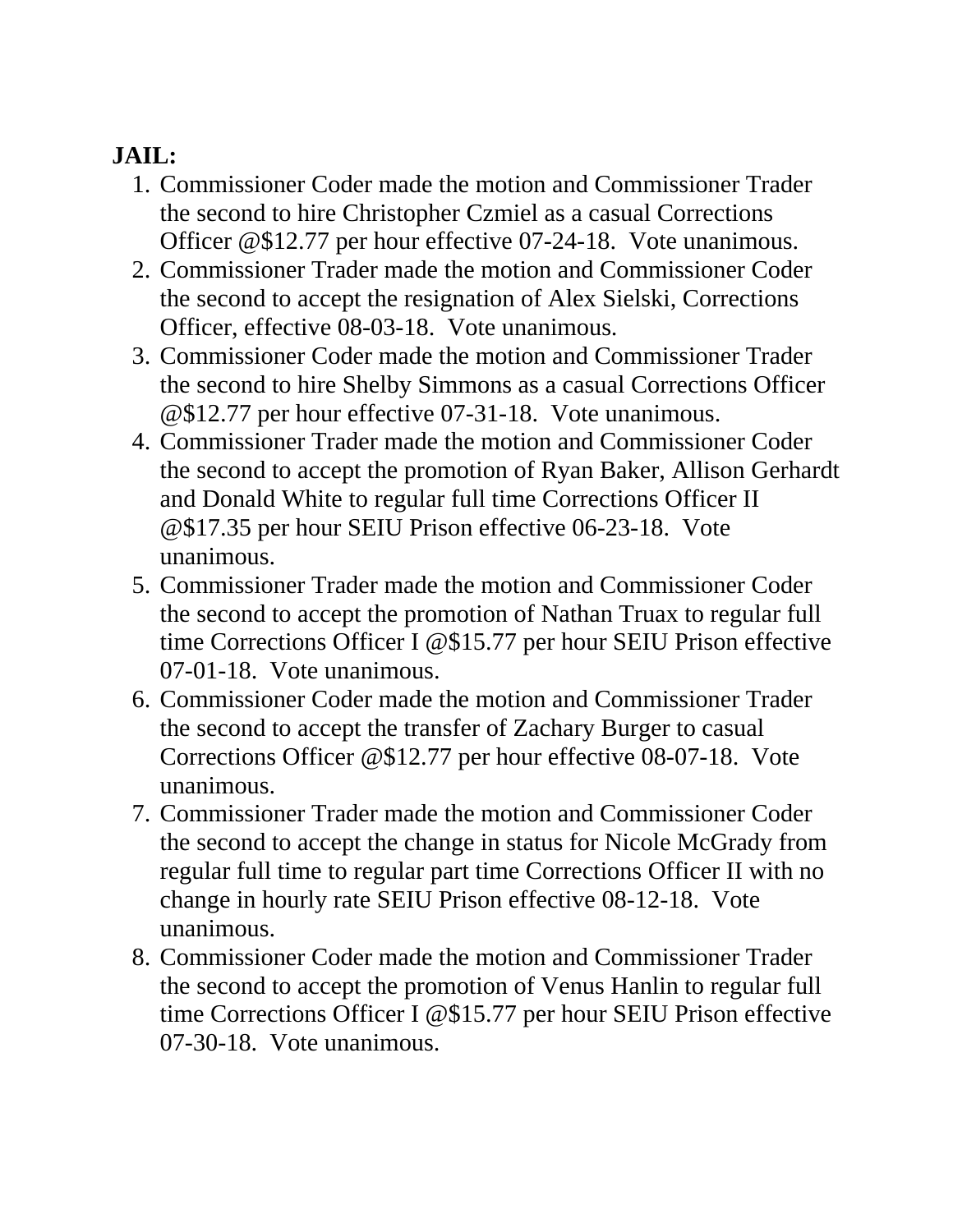### **JAIL:**

- 1. Commissioner Coder made the motion and Commissioner Trader the second to hire Christopher Czmiel as a casual Corrections Officer @\$12.77 per hour effective 07-24-18. Vote unanimous.
- 2. Commissioner Trader made the motion and Commissioner Coder the second to accept the resignation of Alex Sielski, Corrections Officer, effective 08-03-18. Vote unanimous.
- 3. Commissioner Coder made the motion and Commissioner Trader the second to hire Shelby Simmons as a casual Corrections Officer @\$12.77 per hour effective 07-31-18. Vote unanimous.
- 4. Commissioner Trader made the motion and Commissioner Coder the second to accept the promotion of Ryan Baker, Allison Gerhardt and Donald White to regular full time Corrections Officer II @\$17.35 per hour SEIU Prison effective 06-23-18. Vote unanimous.
- 5. Commissioner Trader made the motion and Commissioner Coder the second to accept the promotion of Nathan Truax to regular full time Corrections Officer I @\$15.77 per hour SEIU Prison effective 07-01-18. Vote unanimous.
- 6. Commissioner Coder made the motion and Commissioner Trader the second to accept the transfer of Zachary Burger to casual Corrections Officer @\$12.77 per hour effective 08-07-18. Vote unanimous.
- 7. Commissioner Trader made the motion and Commissioner Coder the second to accept the change in status for Nicole McGrady from regular full time to regular part time Corrections Officer II with no change in hourly rate SEIU Prison effective 08-12-18. Vote unanimous.
- 8. Commissioner Coder made the motion and Commissioner Trader the second to accept the promotion of Venus Hanlin to regular full time Corrections Officer I @\$15.77 per hour SEIU Prison effective 07-30-18. Vote unanimous.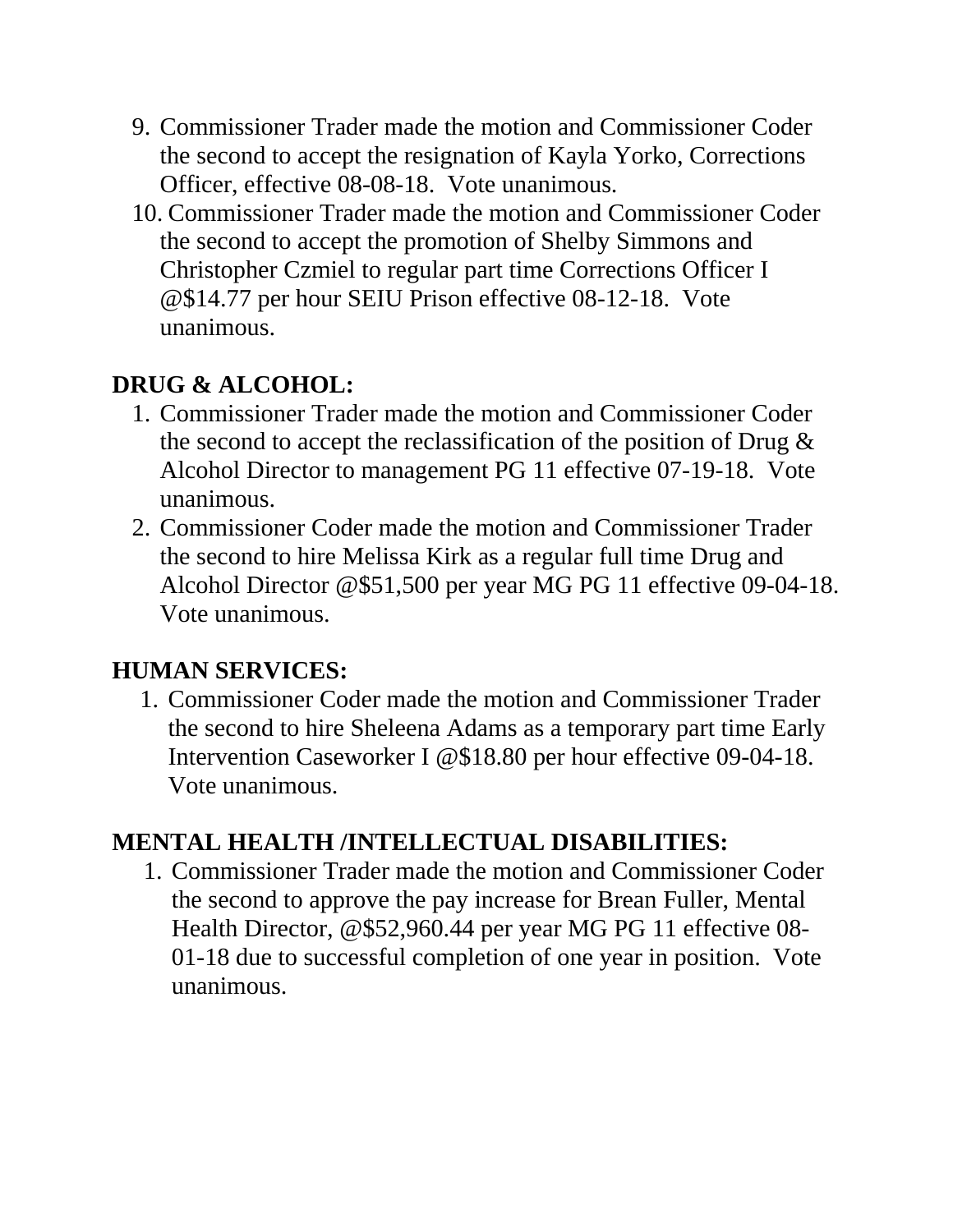- 9. Commissioner Trader made the motion and Commissioner Coder the second to accept the resignation of Kayla Yorko, Corrections Officer, effective 08-08-18. Vote unanimous.
- 10. Commissioner Trader made the motion and Commissioner Coder the second to accept the promotion of Shelby Simmons and Christopher Czmiel to regular part time Corrections Officer I @\$14.77 per hour SEIU Prison effective 08-12-18. Vote unanimous.

## **DRUG & ALCOHOL:**

- 1. Commissioner Trader made the motion and Commissioner Coder the second to accept the reclassification of the position of Drug  $\&$ Alcohol Director to management PG 11 effective 07-19-18. Vote unanimous.
- 2. Commissioner Coder made the motion and Commissioner Trader the second to hire Melissa Kirk as a regular full time Drug and Alcohol Director @\$51,500 per year MG PG 11 effective 09-04-18. Vote unanimous.

### **HUMAN SERVICES:**

1. Commissioner Coder made the motion and Commissioner Trader the second to hire Sheleena Adams as a temporary part time Early Intervention Caseworker I @\$18.80 per hour effective 09-04-18. Vote unanimous.

### **MENTAL HEALTH /INTELLECTUAL DISABILITIES:**

1. Commissioner Trader made the motion and Commissioner Coder the second to approve the pay increase for Brean Fuller, Mental Health Director, @\$52,960.44 per year MG PG 11 effective 08- 01-18 due to successful completion of one year in position. Vote unanimous.